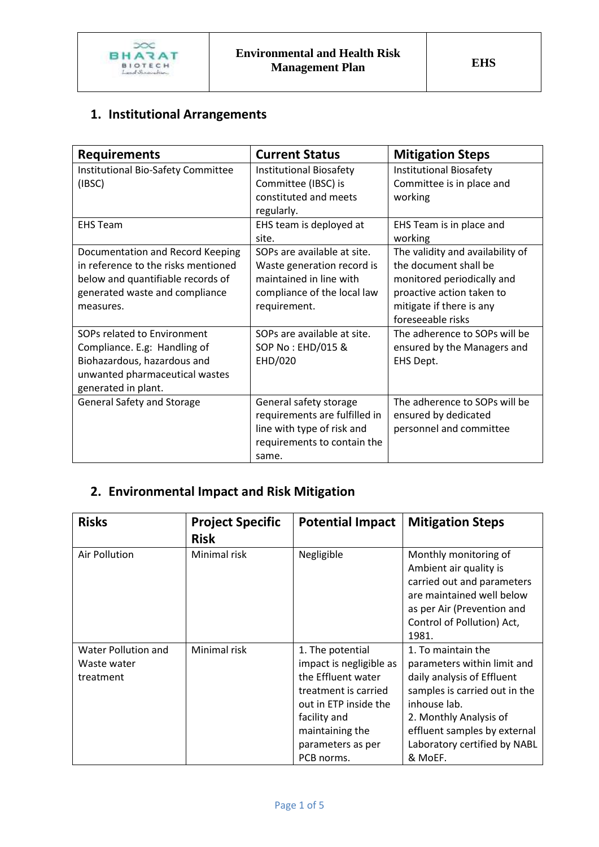

## **1. Institutional Arrangements**

| <b>Requirements</b>                                                                                                                                         | <b>Current Status</b>                                                                                                               | <b>Mitigation Steps</b>                                                                                                                                               |
|-------------------------------------------------------------------------------------------------------------------------------------------------------------|-------------------------------------------------------------------------------------------------------------------------------------|-----------------------------------------------------------------------------------------------------------------------------------------------------------------------|
| Institutional Bio-Safety Committee<br>(IBSC)                                                                                                                | Institutional Biosafety<br>Committee (IBSC) is<br>constituted and meets<br>regularly.                                               | <b>Institutional Biosafety</b><br>Committee is in place and<br>working                                                                                                |
| <b>EHS Team</b>                                                                                                                                             | EHS team is deployed at<br>site.                                                                                                    | EHS Team is in place and<br>working                                                                                                                                   |
| Documentation and Record Keeping<br>in reference to the risks mentioned<br>below and quantifiable records of<br>generated waste and compliance<br>measures. | SOPs are available at site.<br>Waste generation record is<br>maintained in line with<br>compliance of the local law<br>requirement. | The validity and availability of<br>the document shall be<br>monitored periodically and<br>proactive action taken to<br>mitigate if there is any<br>foreseeable risks |
| SOPs related to Environment<br>Compliance. E.g: Handling of<br>Biohazardous, hazardous and<br>unwanted pharmaceutical wastes<br>generated in plant.         | SOPs are available at site.<br>SOP No: EHD/015 &<br>EHD/020                                                                         | The adherence to SOPs will be<br>ensured by the Managers and<br>EHS Dept.                                                                                             |
| <b>General Safety and Storage</b>                                                                                                                           | General safety storage<br>requirements are fulfilled in<br>line with type of risk and<br>requirements to contain the<br>same.       | The adherence to SOPs will be<br>ensured by dedicated<br>personnel and committee                                                                                      |

## **2. Environmental Impact and Risk Mitigation**

| <b>Risks</b>                                           | <b>Project Specific</b><br><b>Risk</b> | <b>Potential Impact</b>                                                                                                                                                                  | <b>Mitigation Steps</b>                                                                                                                                                                                                               |
|--------------------------------------------------------|----------------------------------------|------------------------------------------------------------------------------------------------------------------------------------------------------------------------------------------|---------------------------------------------------------------------------------------------------------------------------------------------------------------------------------------------------------------------------------------|
| Air Pollution                                          | Minimal risk                           | Negligible                                                                                                                                                                               | Monthly monitoring of<br>Ambient air quality is<br>carried out and parameters<br>are maintained well below<br>as per Air (Prevention and<br>Control of Pollution) Act,<br>1981.                                                       |
| <b>Water Pollution and</b><br>Waste water<br>treatment | Minimal risk                           | 1. The potential<br>impact is negligible as<br>the Effluent water<br>treatment is carried<br>out in ETP inside the<br>facility and<br>maintaining the<br>parameters as per<br>PCB norms. | 1. To maintain the<br>parameters within limit and<br>daily analysis of Effluent<br>samples is carried out in the<br>inhouse lab.<br>2. Monthly Analysis of<br>effluent samples by external<br>Laboratory certified by NABL<br>& MoEF. |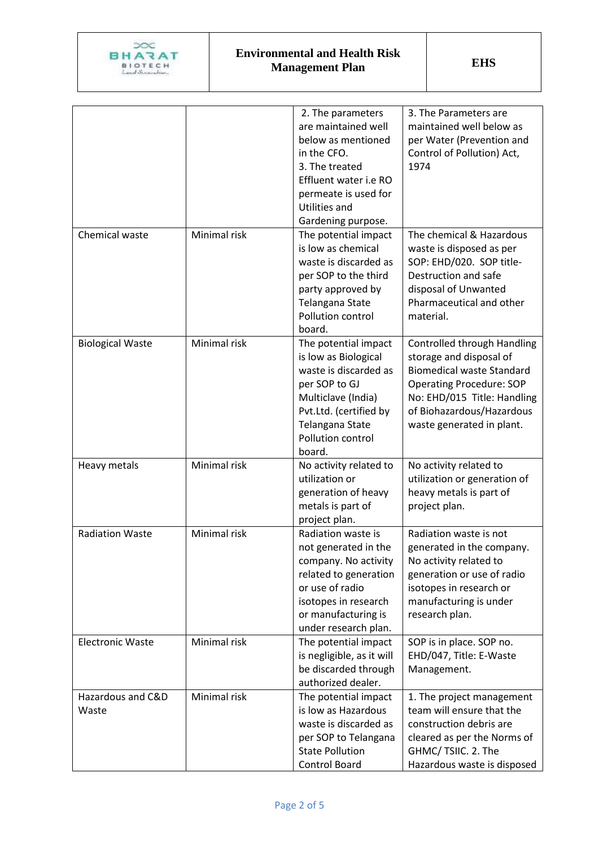

|                            |              | 2. The parameters<br>are maintained well<br>below as mentioned<br>in the CFO.<br>3. The treated<br>Effluent water i.e RO<br>permeate is used for<br>Utilities and<br>Gardening purpose.  | 3. The Parameters are<br>maintained well below as<br>per Water (Prevention and<br>Control of Pollution) Act,<br>1974                                                                                                   |
|----------------------------|--------------|------------------------------------------------------------------------------------------------------------------------------------------------------------------------------------------|------------------------------------------------------------------------------------------------------------------------------------------------------------------------------------------------------------------------|
| Chemical waste             | Minimal risk | The potential impact<br>is low as chemical<br>waste is discarded as<br>per SOP to the third<br>party approved by<br>Telangana State<br>Pollution control<br>board.                       | The chemical & Hazardous<br>waste is disposed as per<br>SOP: EHD/020. SOP title-<br>Destruction and safe<br>disposal of Unwanted<br>Pharmaceutical and other<br>material.                                              |
| <b>Biological Waste</b>    | Minimal risk | The potential impact<br>is low as Biological<br>waste is discarded as<br>per SOP to GJ<br>Multiclave (India)<br>Pvt.Ltd. (certified by<br>Telangana State<br>Pollution control<br>board. | Controlled through Handling<br>storage and disposal of<br><b>Biomedical waste Standard</b><br><b>Operating Procedure: SOP</b><br>No: EHD/015 Title: Handling<br>of Biohazardous/Hazardous<br>waste generated in plant. |
| Heavy metals               | Minimal risk | No activity related to<br>utilization or<br>generation of heavy<br>metals is part of<br>project plan.                                                                                    | No activity related to<br>utilization or generation of<br>heavy metals is part of<br>project plan.                                                                                                                     |
| <b>Radiation Waste</b>     | Minimal risk | Radiation waste is<br>not generated in the<br>company. No activity<br>related to generation<br>or use of radio<br>isotopes in research<br>or manufacturing is<br>under research plan.    | Radiation waste is not<br>generated in the company.<br>No activity related to<br>generation or use of radio<br>isotopes in research or<br>manufacturing is under<br>research plan.                                     |
| <b>Electronic Waste</b>    | Minimal risk | The potential impact<br>is negligible, as it will<br>be discarded through<br>authorized dealer.                                                                                          | SOP is in place. SOP no.<br>EHD/047, Title: E-Waste<br>Management.                                                                                                                                                     |
| Hazardous and C&D<br>Waste | Minimal risk | The potential impact<br>is low as Hazardous<br>waste is discarded as<br>per SOP to Telangana<br><b>State Pollution</b><br>Control Board                                                  | 1. The project management<br>team will ensure that the<br>construction debris are<br>cleared as per the Norms of<br>GHMC/TSIIC. 2. The<br>Hazardous waste is disposed                                                  |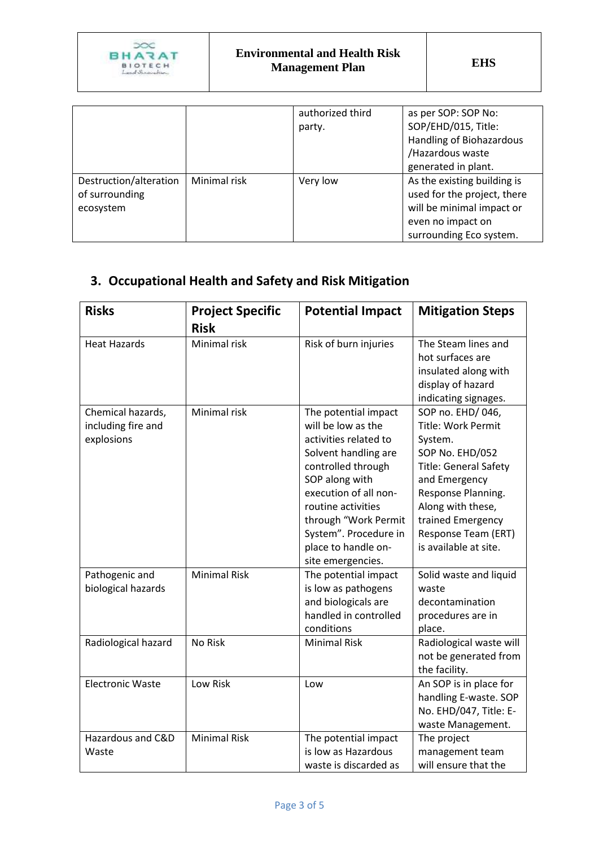

|                        |              | authorized third | as per SOP: SOP No:         |
|------------------------|--------------|------------------|-----------------------------|
|                        |              | party.           | SOP/EHD/015, Title:         |
|                        |              |                  | Handling of Biohazardous    |
|                        |              |                  | /Hazardous waste            |
|                        |              |                  | generated in plant.         |
| Destruction/alteration | Minimal risk | Very low         | As the existing building is |
| of surrounding         |              |                  | used for the project, there |
| ecosystem              |              |                  | will be minimal impact or   |
|                        |              |                  | even no impact on           |
|                        |              |                  | surrounding Eco system.     |

## **3. Occupational Health and Safety and Risk Mitigation**

| <b>Risks</b>                                          | <b>Project Specific</b><br><b>Risk</b> | <b>Potential Impact</b>                                                                                                                                                                                                                                                         | <b>Mitigation Steps</b>                                                                                                                                                                                                                      |
|-------------------------------------------------------|----------------------------------------|---------------------------------------------------------------------------------------------------------------------------------------------------------------------------------------------------------------------------------------------------------------------------------|----------------------------------------------------------------------------------------------------------------------------------------------------------------------------------------------------------------------------------------------|
| <b>Heat Hazards</b>                                   | Minimal risk                           | Risk of burn injuries                                                                                                                                                                                                                                                           | The Steam lines and<br>hot surfaces are<br>insulated along with<br>display of hazard<br>indicating signages.                                                                                                                                 |
| Chemical hazards,<br>including fire and<br>explosions | Minimal risk                           | The potential impact<br>will be low as the<br>activities related to<br>Solvent handling are<br>controlled through<br>SOP along with<br>execution of all non-<br>routine activities<br>through "Work Permit<br>System". Procedure in<br>place to handle on-<br>site emergencies. | SOP no. EHD/046,<br><b>Title: Work Permit</b><br>System.<br>SOP No. EHD/052<br><b>Title: General Safety</b><br>and Emergency<br>Response Planning.<br>Along with these,<br>trained Emergency<br>Response Team (ERT)<br>is available at site. |
| Pathogenic and<br>biological hazards                  | <b>Minimal Risk</b>                    | The potential impact<br>is low as pathogens<br>and biologicals are<br>handled in controlled<br>conditions                                                                                                                                                                       | Solid waste and liquid<br>waste<br>decontamination<br>procedures are in<br>place.                                                                                                                                                            |
| Radiological hazard                                   | No Risk                                | <b>Minimal Risk</b>                                                                                                                                                                                                                                                             | Radiological waste will<br>not be generated from<br>the facility.                                                                                                                                                                            |
| <b>Electronic Waste</b>                               | Low Risk                               | Low                                                                                                                                                                                                                                                                             | An SOP is in place for<br>handling E-waste. SOP<br>No. EHD/047, Title: E-<br>waste Management.                                                                                                                                               |
| Hazardous and C&D<br>Waste                            | <b>Minimal Risk</b>                    | The potential impact<br>is low as Hazardous<br>waste is discarded as                                                                                                                                                                                                            | The project<br>management team<br>will ensure that the                                                                                                                                                                                       |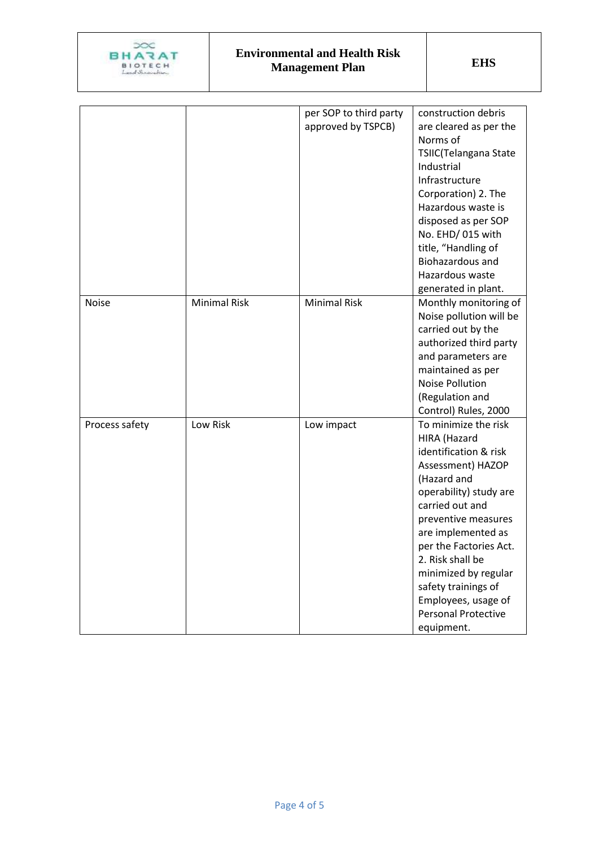

|                |                     | per SOP to third party | construction debris        |
|----------------|---------------------|------------------------|----------------------------|
|                |                     | approved by TSPCB)     | are cleared as per the     |
|                |                     |                        | Norms of                   |
|                |                     |                        | TSIIC(Telangana State      |
|                |                     |                        | Industrial                 |
|                |                     |                        | Infrastructure             |
|                |                     |                        | Corporation) 2. The        |
|                |                     |                        | Hazardous waste is         |
|                |                     |                        | disposed as per SOP        |
|                |                     |                        | No. EHD/015 with           |
|                |                     |                        | title, "Handling of        |
|                |                     |                        | Biohazardous and           |
|                |                     |                        | Hazardous waste            |
|                |                     |                        | generated in plant.        |
| <b>Noise</b>   | <b>Minimal Risk</b> | <b>Minimal Risk</b>    | Monthly monitoring of      |
|                |                     |                        | Noise pollution will be    |
|                |                     |                        | carried out by the         |
|                |                     |                        | authorized third party     |
|                |                     |                        | and parameters are         |
|                |                     |                        | maintained as per          |
|                |                     |                        | <b>Noise Pollution</b>     |
|                |                     |                        | (Regulation and            |
|                |                     |                        | Control) Rules, 2000       |
| Process safety | Low Risk            | Low impact             | To minimize the risk       |
|                |                     |                        | HIRA (Hazard               |
|                |                     |                        | identification & risk      |
|                |                     |                        | Assessment) HAZOP          |
|                |                     |                        | (Hazard and                |
|                |                     |                        | operability) study are     |
|                |                     |                        | carried out and            |
|                |                     |                        | preventive measures        |
|                |                     |                        | are implemented as         |
|                |                     |                        | per the Factories Act.     |
|                |                     |                        | 2. Risk shall be           |
|                |                     |                        | minimized by regular       |
|                |                     |                        | safety trainings of        |
|                |                     |                        | Employees, usage of        |
|                |                     |                        | <b>Personal Protective</b> |
|                |                     |                        | equipment.                 |